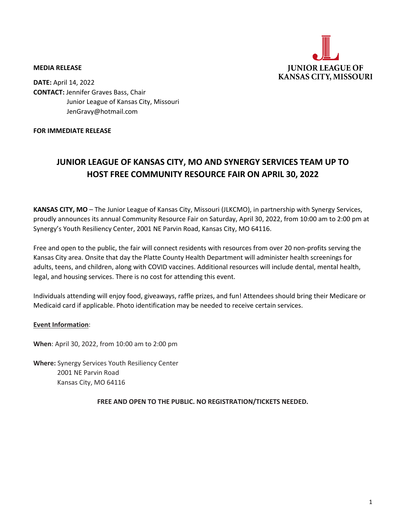

#### **MEDIA RELEASE**

**DATE:** April 14, 2022 **CONTACT:** Jennifer Graves Bass, Chair Junior League of Kansas City, Missouri JenGravy@hotmail.com

### **FOR IMMEDIATE RELEASE**

# **JUNIOR LEAGUE OF KANSAS CITY, MO AND SYNERGY SERVICES TEAM UP TO HOST FREE COMMUNITY RESOURCE FAIR ON APRIL 30, 2022**

**KANSAS CITY, MO** – The Junior League of Kansas City, Missouri (JLKCMO), in partnership with Synergy Services, proudly announces its annual Community Resource Fair on Saturday, April 30, 2022, from 10:00 am to 2:00 pm at Synergy's Youth Resiliency Center, 2001 NE Parvin Road, Kansas City, MO 64116.

Free and open to the public, the fair will connect residents with resources from over 20 non-profits serving the Kansas City area. Onsite that day the Platte County Health Department will administer health screenings for adults, teens, and children, along with COVID vaccines. Additional resources will include dental, mental health, legal, and housing services. There is no cost for attending this event.

Individuals attending will enjoy food, giveaways, raffle prizes, and fun! Attendees should bring their Medicare or Medicaid card if applicable. Photo identification may be needed to receive certain services.

## **Event Information**:

**When**: April 30, 2022, from 10:00 am to 2:00 pm

**Where:** Synergy Services Youth Resiliency Center 2001 NE Parvin Road Kansas City, MO 64116

**FREE AND OPEN TO THE PUBLIC. NO REGISTRATION/TICKETS NEEDED.**